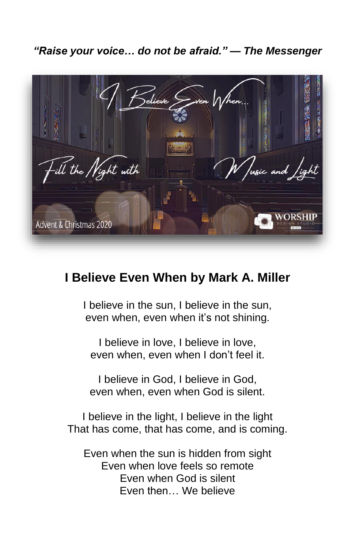*"Raise your voice… do not be afraid." — The Messenger*

relieve ill the *Night* with lusic and /ight Advent & Christmas 2020

#### **I Believe Even When by Mark A. Miller**

I believe in the sun, I believe in the sun, even when, even when it's not shining.

I believe in love, I believe in love, even when, even when I don't feel it.

I believe in God, I believe in God, even when, even when God is silent.

I believe in the light, I believe in the light That has come, that has come, and is coming.

Even when the sun is hidden from sight Even when love feels so remote Even when God is silent Even then… We believe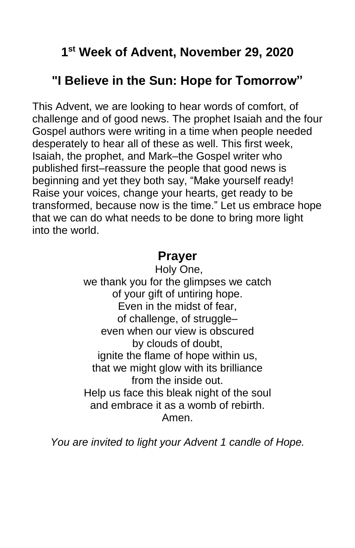## **1 st Week of Advent, November 29, 2020**

## **"I Believe in the Sun: Hope for Tomorrow"**

This Advent, we are looking to hear words of comfort, of challenge and of good news. The prophet Isaiah and the four Gospel authors were writing in a time when people needed desperately to hear all of these as well. This first week, Isaiah, the prophet, and Mark–the Gospel writer who published first–reassure the people that good news is beginning and yet they both say, "Make yourself ready! Raise your voices, change your hearts, get ready to be transformed, because now is the time." Let us embrace hope that we can do what needs to be done to bring more light into the world.

#### **Prayer**

Holy One, we thank you for the glimpses we catch of your gift of untiring hope. Even in the midst of fear, of challenge, of struggleeven when our view is obscured by clouds of doubt, ignite the flame of hope within us, that we might glow with its brilliance from the inside out. Help us face this bleak night of the soul and embrace it as a womb of rebirth. Amen.

*You are invited to light your Advent 1 candle of Hope.*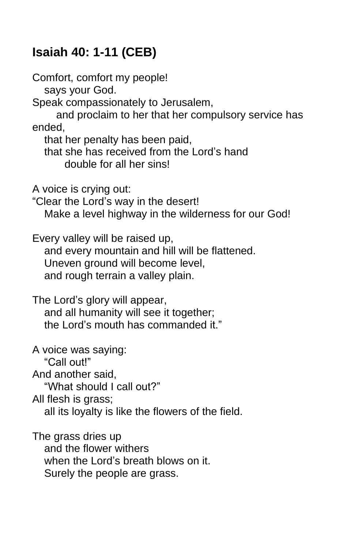# **Isaiah 40: 1-11 (CEB)**

Comfort, comfort my people! says your God. Speak compassionately to Jerusalem, and proclaim to her that her compulsory service has ended, that her penalty has been paid, that she has received from the Lord's hand double for all her sins! A voice is crying out: "Clear the Lord's way in the desert! Make a level highway in the wilderness for our God! Every valley will be raised up, and every mountain and hill will be flattened. Uneven ground will become level, and rough terrain a valley plain. The Lord's glory will appear, and all humanity will see it together; the Lord's mouth has commanded it." A voice was saying: "Call out!" And another said, "What should I call out?" All flesh is grass; all its loyalty is like the flowers of the field. The grass dries up and the flower withers when the Lord's breath blows on it. Surely the people are grass.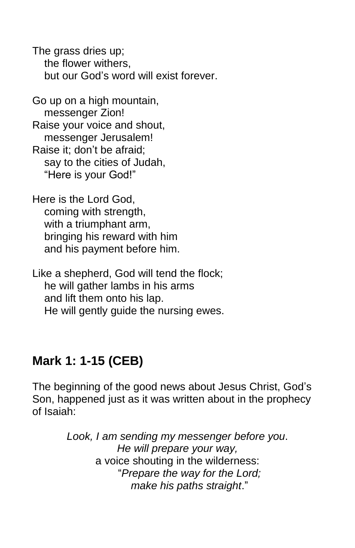The grass dries up; the flower withers, but our God's word will exist forever.

Go up on a high mountain, messenger Zion! Raise your voice and shout, messenger Jerusalem! Raise it; don't be afraid; say to the cities of Judah, "Here is your God!"

Here is the Lord God, coming with strength, with a triumphant arm, bringing his reward with him and his payment before him.

Like a shepherd, God will tend the flock; he will gather lambs in his arms and lift them onto his lap. He will gently guide the nursing ewes.

# **Mark 1: 1-15 (CEB)**

The beginning of the good news about Jesus Christ, God's Son, happened just as it was written about in the prophecy of Isaiah:

> *Look, I am sending my messenger before you*. *He will prepare your way,* a voice shouting in the wilderness: "*Prepare the way for the Lord; make his paths straight*."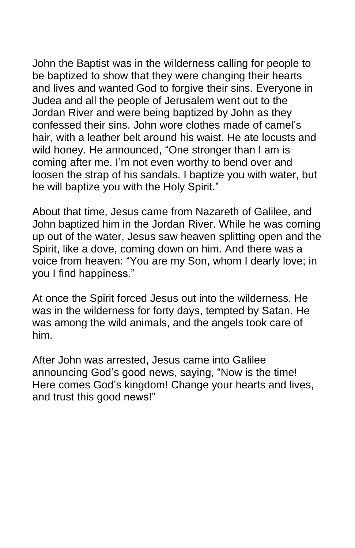John the Baptist was in the wilderness calling for people to be baptized to show that they were changing their hearts and lives and wanted God to forgive their sins. Everyone in Judea and all the people of Jerusalem went out to the Jordan River and were being baptized by John as they confessed their sins. John wore clothes made of camel's hair, with a leather belt around his waist. He ate locusts and wild honey. He announced, "One stronger than I am is coming after me. I'm not even worthy to bend over and loosen the strap of his sandals. I baptize you with water, but he will baptize you with the Holy Spirit."

About that time, Jesus came from Nazareth of Galilee, and John baptized him in the Jordan River. While he was coming up out of the water, Jesus saw heaven splitting open and the Spirit, like a dove, coming down on him. And there was a voice from heaven: "You are my Son, whom I dearly love; in you I find happiness."

At once the Spirit forced Jesus out into the wilderness. He was in the wilderness for forty days, tempted by Satan. He was among the wild animals, and the angels took care of him.

After John was arrested, Jesus came into Galilee announcing God's good news, saying, "Now is the time! Here comes God's kingdom! Change your hearts and lives, and trust this good news!"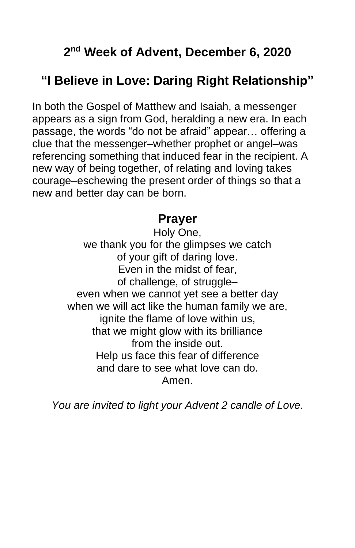## **2 nd Week of Advent, December 6, 2020**

# **"I Believe in Love: Daring Right Relationship"**

In both the Gospel of Matthew and Isaiah, a messenger appears as a sign from God, heralding a new era. In each passage, the words "do not be afraid" appear… offering a clue that the messenger–whether prophet or angel–was referencing something that induced fear in the recipient. A new way of being together, of relating and loving takes courage–eschewing the present order of things so that a new and better day can be born.

#### **Prayer**

Holy One, we thank you for the glimpses we catch of your gift of daring love. Even in the midst of fear, of challenge, of struggle– even when we cannot yet see a better day when we will act like the human family we are, ignite the flame of love within us, that we might glow with its brilliance from the inside out. Help us face this fear of difference and dare to see what love can do. Amen.

*You are invited to light your Advent 2 candle of Love.*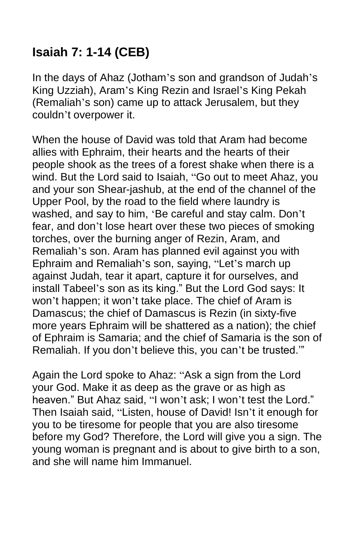# **Isaiah 7: 1-14 (CEB)**

In the days of Ahaz (Jotham's son and grandson of Judah's King Uzziah), Aram's King Rezin and Israel's King Pekah (Remaliah's son) came up to attack Jerusalem, but they couldn't overpower it.

When the house of David was told that Aram had become allies with Ephraim, their hearts and the hearts of their people shook as the trees of a forest shake when there is a wind. But the Lord said to Isaiah, "Go out to meet Ahaz, you and your son Shear-jashub, at the end of the channel of the Upper Pool, by the road to the field where laundry is washed, and say to him, 'Be careful and stay calm. Don't fear, and don't lose heart over these two pieces of smoking torches, over the burning anger of Rezin, Aram, and Remaliah's son. Aram has planned evil against you with Ephraim and Remaliah's son, saying, "Let's march up against Judah, tear it apart, capture it for ourselves, and install Tabeel's son as its king." But the Lord God says: It won't happen; it won't take place. The chief of Aram is Damascus; the chief of Damascus is Rezin (in sixty-five more years Ephraim will be shattered as a nation); the chief of Ephraim is Samaria; and the chief of Samaria is the son of Remaliah. If you don't believe this, you can't be trusted.'"

Again the Lord spoke to Ahaz: "Ask a sign from the Lord your God. Make it as deep as the grave or as high as heaven." But Ahaz said, "I won't ask; I won't test the Lord." Then Isaiah said, "Listen, house of David! Isn't it enough for you to be tiresome for people that you are also tiresome before my God? Therefore, the Lord will give you a sign. The young woman is pregnant and is about to give birth to a son, and she will name him Immanuel.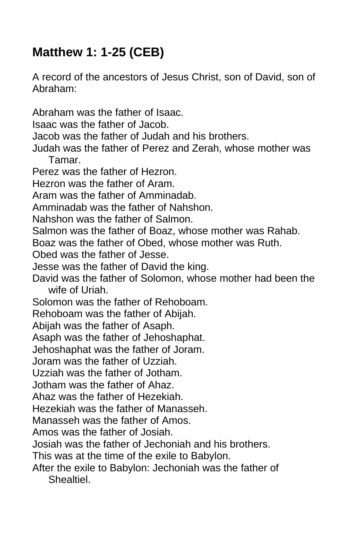# **Matthew 1: 1-25 (CEB)**

A record of the ancestors of Jesus Christ, son of David, son of Abraham:

Abraham was the father of Isaac.

Isaac was the father of Jacob.

Jacob was the father of Judah and his brothers.

Judah was the father of Perez and Zerah, whose mother was Tamar.

Perez was the father of Hezron.

Hezron was the father of Aram.

Aram was the father of Amminadab.

Amminadab was the father of Nahshon.

Nahshon was the father of Salmon.

Salmon was the father of Boaz, whose mother was Rahab.

Boaz was the father of Obed, whose mother was Ruth.

Obed was the father of Jesse.

Jesse was the father of David the king.

David was the father of Solomon, whose mother had been the wife of Uriah.

Solomon was the father of Rehoboam.

Rehoboam was the father of Abijah.

Abijah was the father of Asaph.

Asaph was the father of Jehoshaphat.

Jehoshaphat was the father of Joram.

Joram was the father of Uzziah.

Uzziah was the father of Jotham.

Jotham was the father of Ahaz.

Ahaz was the father of Hezekiah.

Hezekiah was the father of Manasseh.

Manasseh was the father of Amos.

Amos was the father of Josiah.

Josiah was the father of Jechoniah and his brothers.

This was at the time of the exile to Babylon.

After the exile to Babylon: Jechoniah was the father of Shealtiel.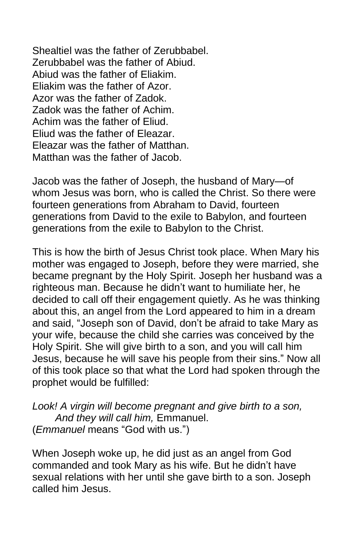Shealtiel was the father of Zerubbabel. Zerubbabel was the father of Abiud. Abiud was the father of Eliakim. Eliakim was the father of Azor. Azor was the father of Zadok. Zadok was the father of Achim. Achim was the father of Eliud. Eliud was the father of Eleazar. Eleazar was the father of Matthan. Matthan was the father of Jacob.

Jacob was the father of Joseph, the husband of Mary—of whom Jesus was born, who is called the Christ. So there were fourteen generations from Abraham to David, fourteen generations from David to the exile to Babylon, and fourteen generations from the exile to Babylon to the Christ.

This is how the birth of Jesus Christ took place. When Mary his mother was engaged to Joseph, before they were married, she became pregnant by the Holy Spirit. Joseph her husband was a righteous man. Because he didn't want to humiliate her, he decided to call off their engagement quietly. As he was thinking about this, an angel from the Lord appeared to him in a dream and said, "Joseph son of David, don't be afraid to take Mary as your wife, because the child she carries was conceived by the Holy Spirit. She will give birth to a son, and you will call him Jesus, because he will save his people from their sins." Now all of this took place so that what the Lord had spoken through the prophet would be fulfilled:

*Look! A virgin will become pregnant and give birth to a son, And they will call him,* Emmanuel. (*Emmanuel* means "God with us.")

When Joseph woke up, he did just as an angel from God commanded and took Mary as his wife. But he didn't have sexual relations with her until she gave birth to a son. Joseph called him Jesus.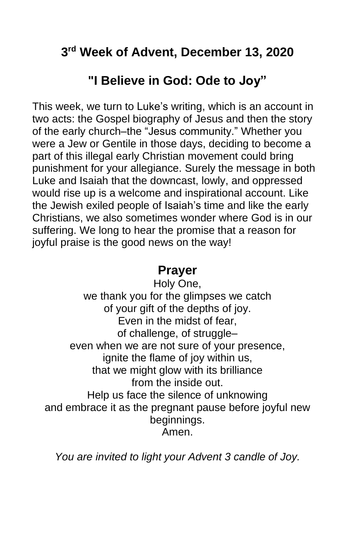# **3 rd Week of Advent, December 13, 2020**

# **"I Believe in God: Ode to Joy"**

This week, we turn to Luke's writing, which is an account in two acts: the Gospel biography of Jesus and then the story of the early church–the "Jesus community." Whether you were a Jew or Gentile in those days, deciding to become a part of this illegal early Christian movement could bring punishment for your allegiance. Surely the message in both Luke and Isaiah that the downcast, lowly, and oppressed would rise up is a welcome and inspirational account. Like the Jewish exiled people of Isaiah's time and like the early Christians, we also sometimes wonder where God is in our suffering. We long to hear the promise that a reason for joyful praise is the good news on the way!

## **Prayer**

Holy One, we thank you for the glimpses we catch of your gift of the depths of joy. Even in the midst of fear, of challenge, of struggle– even when we are not sure of your presence, ignite the flame of joy within us, that we might glow with its brilliance from the inside out. Help us face the silence of unknowing and embrace it as the pregnant pause before joyful new beginnings. Amen.

*You are invited to light your Advent 3 candle of Joy.*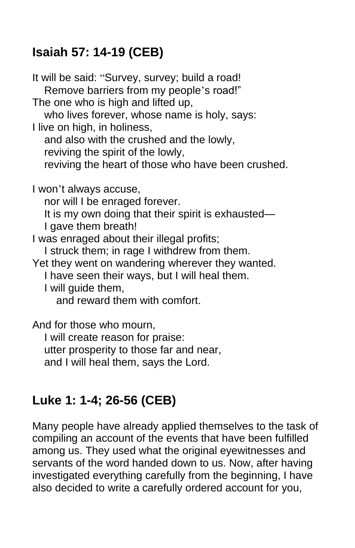# **Isaiah 57: 14-19 (CEB)**

It will be said: "Survey, survey; build a road! Remove barriers from my people's road!" The one who is high and lifted up, who lives forever, whose name is holy, says: I live on high, in holiness, and also with the crushed and the lowly, reviving the spirit of the lowly, reviving the heart of those who have been crushed. I won't always accuse, nor will I be enraged forever. It is my own doing that their spirit is exhausted— I gave them breath! I was enraged about their illegal profits; I struck them; in rage I withdrew from them. Yet they went on wandering wherever they wanted. I have seen their ways, but I will heal them. I will guide them, and reward them with comfort. And for those who mourn,

 I will create reason for praise: utter prosperity to those far and near, and I will heal them, says the Lord.

# **Luke 1: 1-4; 26-56 (CEB)**

Many people have already applied themselves to the task of compiling an account of the events that have been fulfilled among us. They used what the original eyewitnesses and servants of the word handed down to us. Now, after having investigated everything carefully from the beginning, I have also decided to write a carefully ordered account for you,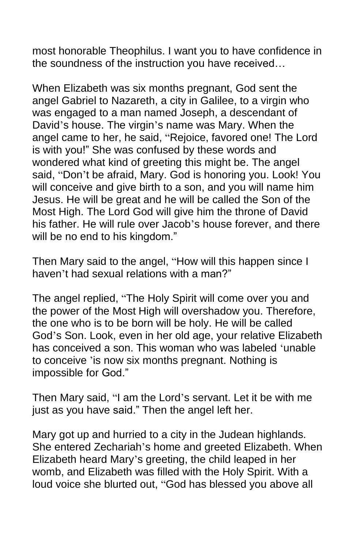most honorable Theophilus. I want you to have confidence in the soundness of the instruction you have received…

When Elizabeth was six months pregnant, God sent the angel Gabriel to Nazareth, a city in Galilee, to a virgin who was engaged to a man named Joseph, a descendant of David's house. The virgin's name was Mary. When the angel came to her, he said, "Rejoice, favored one! The Lord is with you!" She was confused by these words and wondered what kind of greeting this might be. The angel said, "Don't be afraid, Mary. God is honoring you. Look! You will conceive and give birth to a son, and you will name him Jesus. He will be great and he will be called the Son of the Most High. The Lord God will give him the throne of David his father. He will rule over Jacob's house forever, and there will be no end to his kingdom."

Then Mary said to the angel, "How will this happen since I haven't had sexual relations with a man?"

The angel replied, "The Holy Spirit will come over you and the power of the Most High will overshadow you. Therefore, the one who is to be born will be holy. He will be called God's Son. Look, even in her old age, your relative Elizabeth has conceived a son. This woman who was labeled 'unable to conceive 'is now six months pregnant. Nothing is impossible for God."

Then Mary said, "I am the Lord's servant. Let it be with me just as you have said." Then the angel left her.

Mary got up and hurried to a city in the Judean highlands. She entered Zechariah's home and greeted Elizabeth. When Elizabeth heard Mary's greeting, the child leaped in her womb, and Elizabeth was filled with the Holy Spirit. With a loud voice she blurted out, "God has blessed you above all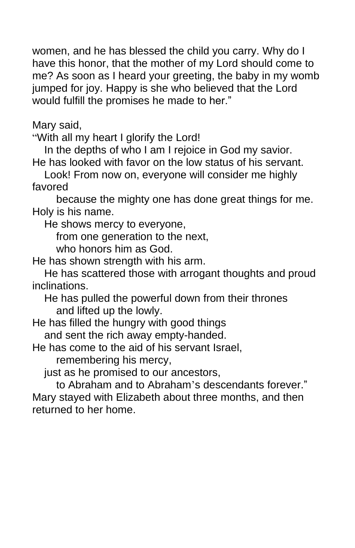women, and he has blessed the child you carry. Why do I have this honor, that the mother of my Lord should come to me? As soon as I heard your greeting, the baby in my womb jumped for joy. Happy is she who believed that the Lord would fulfill the promises he made to her."

Mary said,

"With all my heart I glorify the Lord!

 In the depths of who I am I rejoice in God my savior. He has looked with favor on the low status of his servant.

 Look! From now on, everyone will consider me highly favored

 because the mighty one has done great things for me. Holy is his name.

He shows mercy to everyone,

from one generation to the next,

who honors him as God.

He has shown strength with his arm.

 He has scattered those with arrogant thoughts and proud inclinations.

 He has pulled the powerful down from their thrones and lifted up the lowly.

He has filled the hungry with good things

and sent the rich away empty-handed.

He has come to the aid of his servant Israel,

remembering his mercy,

just as he promised to our ancestors,

 to Abraham and to Abraham's descendants forever." Mary stayed with Elizabeth about three months, and then returned to her home.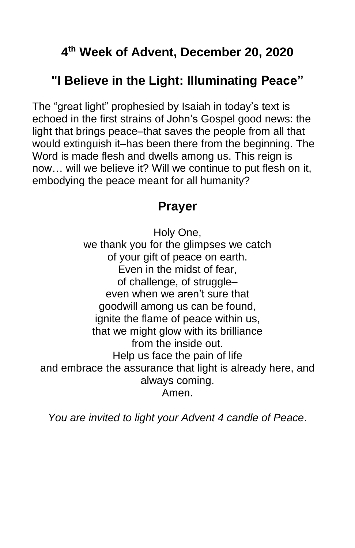# **4 th Week of Advent, December 20, 2020**

# **"I Believe in the Light: Illuminating Peace"**

The "great light" prophesied by Isaiah in today's text is echoed in the first strains of John's Gospel good news: the light that brings peace–that saves the people from all that would extinguish it–has been there from the beginning. The Word is made flesh and dwells among us. This reign is now… will we believe it? Will we continue to put flesh on it, embodying the peace meant for all humanity?

#### **Prayer**

Holy One, we thank you for the glimpses we catch of your gift of peace on earth. Even in the midst of fear, of challenge, of struggle– even when we aren't sure that goodwill among us can be found, ignite the flame of peace within us, that we might glow with its brilliance from the inside out. Help us face the pain of life and embrace the assurance that light is already here, and always coming. Amen.

*You are invited to light your Advent 4 candle of Peace*.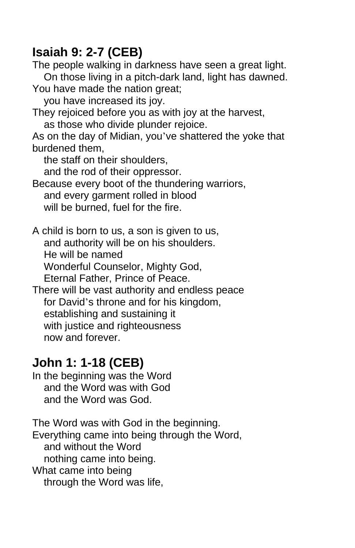# **Isaiah 9: 2-7 (CEB)**

The people walking in darkness have seen a great light. On those living in a pitch-dark land, light has dawned. You have made the nation great; you have increased its joy. They rejoiced before you as with joy at the harvest, as those who divide plunder rejoice. As on the day of Midian, you've shattered the yoke that burdened them, the staff on their shoulders, and the rod of their oppressor. Because every boot of the thundering warriors, and every garment rolled in blood will be burned, fuel for the fire. A child is born to us, a son is given to us, and authority will be on his shoulders. He will be named Wonderful Counselor, Mighty God, Eternal Father, Prince of Peace. There will be vast authority and endless peace for David's throne and for his kingdom, establishing and sustaining it with justice and righteousness now and forever. **John 1: 1-18 (CEB)**

In the beginning was the Word and the Word was with God and the Word was God.

The Word was with God in the beginning. Everything came into being through the Word, and without the Word nothing came into being. What came into being through the Word was life,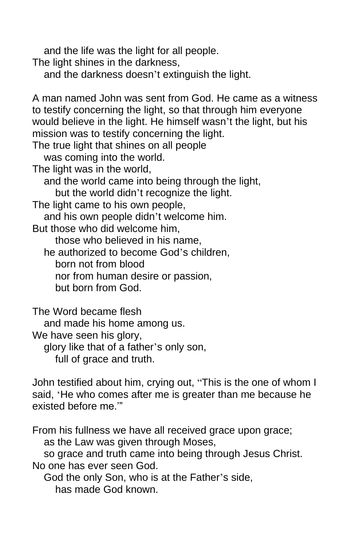and the life was the light for all people.

The light shines in the darkness,

and the darkness doesn't extinguish the light.

A man named John was sent from God. He came as a witness to testify concerning the light, so that through him everyone would believe in the light. He himself wasn't the light, but his mission was to testify concerning the light.

The true light that shines on all people

was coming into the world.

The light was in the world,

and the world came into being through the light,

but the world didn't recognize the light.

The light came to his own people,

and his own people didn't welcome him.

But those who did welcome him,

those who believed in his name,

 he authorized to become God's children, born not from blood nor from human desire or passion, but born from God.

The Word became flesh and made his home among us. We have seen his glory, glory like that of a father's only son, full of grace and truth.

John testified about him, crying out, "This is the one of whom I said, 'He who comes after me is greater than me because he existed before me.'"

From his fullness we have all received grace upon grace; as the Law was given through Moses,

 so grace and truth came into being through Jesus Christ. No one has ever seen God.

 God the only Son, who is at the Father's side, has made God known.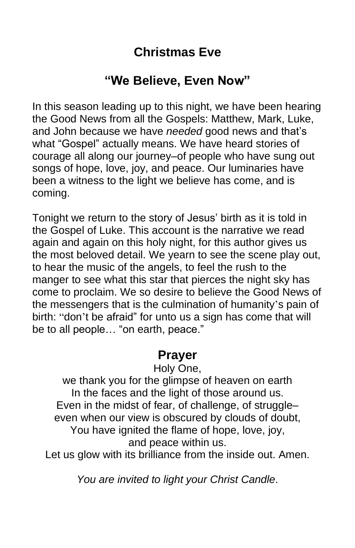# **Christmas Eve**

## **"We Believe, Even Now"**

In this season leading up to this night, we have been hearing the Good News from all the Gospels: Matthew, Mark, Luke, and John because we have *needed* good news and that's what "Gospel" actually means. We have heard stories of courage all along our journey–of people who have sung out songs of hope, love, joy, and peace. Our luminaries have been a witness to the light we believe has come, and is coming.

Tonight we return to the story of Jesus' birth as it is told in the Gospel of Luke. This account is the narrative we read again and again on this holy night, for this author gives us the most beloved detail. We yearn to see the scene play out, to hear the music of the angels, to feel the rush to the manger to see what this star that pierces the night sky has come to proclaim. We so desire to believe the Good News of the messengers that is the culmination of humanity's pain of birth: "don't be afraid" for unto us a sign has come that will be to all people… "on earth, peace."

#### **Prayer**

Holy One,

we thank you for the glimpse of heaven on earth In the faces and the light of those around us. Even in the midst of fear, of challenge, of struggle– even when our view is obscured by clouds of doubt, You have ignited the flame of hope, love, joy, and peace within us.

Let us glow with its brilliance from the inside out. Amen.

*You are invited to light your Christ Candle*.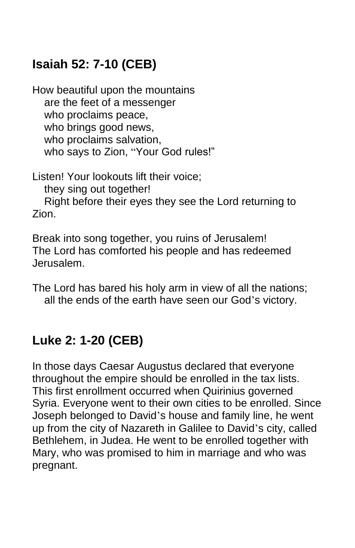# **Isaiah 52: 7-10 (CEB)**

How beautiful upon the mountains are the feet of a messenger who proclaims peace, who brings good news, who proclaims salvation, who says to Zion, "Your God rules!"

Listen! Your lookouts lift their voice; they sing out together! Right before their eyes they see the Lord returning to Zion.

Break into song together, you ruins of Jerusalem! The Lord has comforted his people and has redeemed Jerusalem.

The Lord has bared his holy arm in view of all the nations; all the ends of the earth have seen our God's victory.

# **Luke 2: 1-20 (CEB)**

In those days Caesar Augustus declared that everyone throughout the empire should be enrolled in the tax lists. This first enrollment occurred when Quirinius governed Syria. Everyone went to their own cities to be enrolled. Since Joseph belonged to David's house and family line, he went up from the city of Nazareth in Galilee to David's city, called Bethlehem, in Judea. He went to be enrolled together with Mary, who was promised to him in marriage and who was pregnant.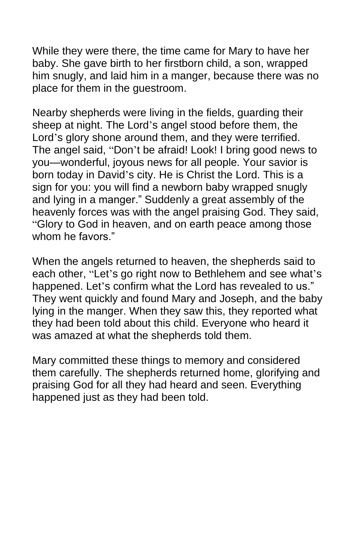While they were there, the time came for Mary to have her baby. She gave birth to her firstborn child, a son, wrapped him snugly, and laid him in a manger, because there was no place for them in the guestroom.

Nearby shepherds were living in the fields, guarding their sheep at night. The Lord's angel stood before them, the Lord's glory shone around them, and they were terrified. The angel said, "Don't be afraid! Look! I bring good news to you—wonderful, joyous news for all people. Your savior is born today in David's city. He is Christ the Lord. This is a sign for you: you will find a newborn baby wrapped snugly and lying in a manger." Suddenly a great assembly of the heavenly forces was with the angel praising God. They said, "Glory to God in heaven, and on earth peace among those whom he favors."

When the angels returned to heaven, the shepherds said to each other, "Let's go right now to Bethlehem and see what's happened. Let's confirm what the Lord has revealed to us." They went quickly and found Mary and Joseph, and the baby lying in the manger. When they saw this, they reported what they had been told about this child. Everyone who heard it was amazed at what the shepherds told them.

Mary committed these things to memory and considered them carefully. The shepherds returned home, glorifying and praising God for all they had heard and seen. Everything happened just as they had been told.